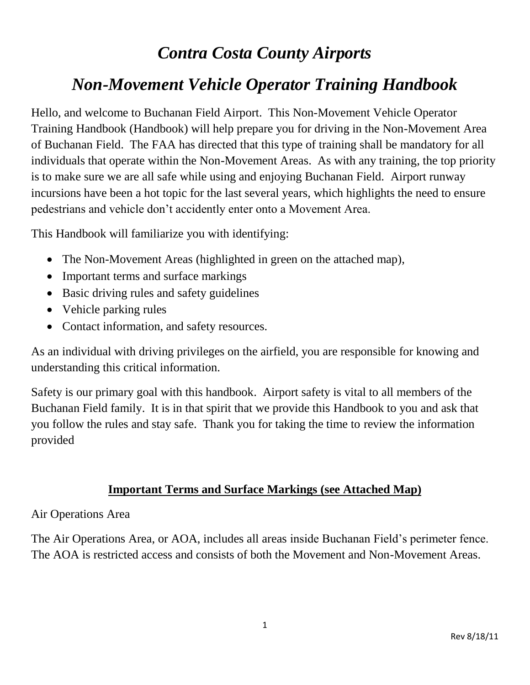# *Contra Costa County Airports*

# *Non-Movement Vehicle Operator Training Handbook*

Hello, and welcome to Buchanan Field Airport. This Non-Movement Vehicle Operator Training Handbook (Handbook) will help prepare you for driving in the Non-Movement Area of Buchanan Field. The FAA has directed that this type of training shall be mandatory for all individuals that operate within the Non-Movement Areas. As with any training, the top priority is to make sure we are all safe while using and enjoying Buchanan Field. Airport runway incursions have been a hot topic for the last several years, which highlights the need to ensure pedestrians and vehicle don't accidently enter onto a Movement Area.

This Handbook will familiarize you with identifying:

- The Non-Movement Areas (highlighted in green on the attached map),
- Important terms and surface markings
- Basic driving rules and safety guidelines
- Vehicle parking rules
- Contact information, and safety resources.

As an individual with driving privileges on the airfield, you are responsible for knowing and understanding this critical information.

Safety is our primary goal with this handbook. Airport safety is vital to all members of the Buchanan Field family. It is in that spirit that we provide this Handbook to you and ask that you follow the rules and stay safe. Thank you for taking the time to review the information provided

### **Important Terms and Surface Markings (see Attached Map)**

#### Air Operations Area

The Air Operations Area, or AOA, includes all areas inside Buchanan Field's perimeter fence. The AOA is restricted access and consists of both the Movement and Non-Movement Areas.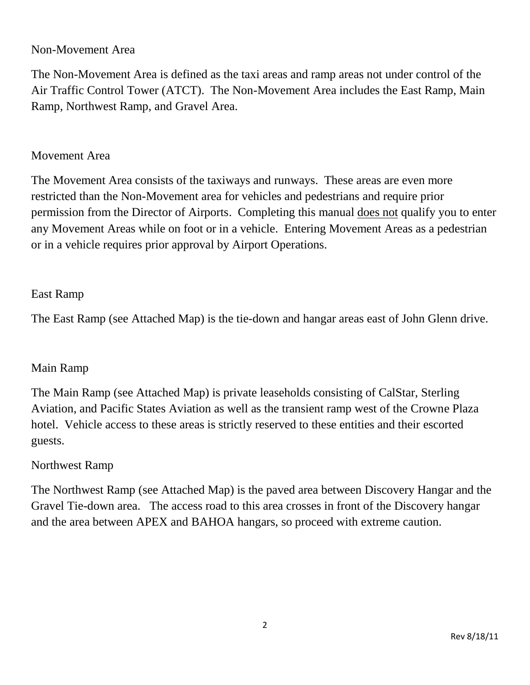## Non-Movement Area

The Non-Movement Area is defined as the taxi areas and ramp areas not under control of the Air Traffic Control Tower (ATCT). The Non-Movement Area includes the East Ramp, Main Ramp, Northwest Ramp, and Gravel Area.

## Movement Area

The Movement Area consists of the taxiways and runways. These areas are even more restricted than the Non-Movement area for vehicles and pedestrians and require prior permission from the Director of Airports. Completing this manual does not qualify you to enter any Movement Areas while on foot or in a vehicle. Entering Movement Areas as a pedestrian or in a vehicle requires prior approval by Airport Operations.

# East Ramp

The East Ramp (see Attached Map) is the tie-down and hangar areas east of John Glenn drive.

# Main Ramp

The Main Ramp (see Attached Map) is private leaseholds consisting of CalStar, Sterling Aviation, and Pacific States Aviation as well as the transient ramp west of the Crowne Plaza hotel. Vehicle access to these areas is strictly reserved to these entities and their escorted guests.

### Northwest Ramp

The Northwest Ramp (see Attached Map) is the paved area between Discovery Hangar and the Gravel Tie-down area. The access road to this area crosses in front of the Discovery hangar and the area between APEX and BAHOA hangars, so proceed with extreme caution.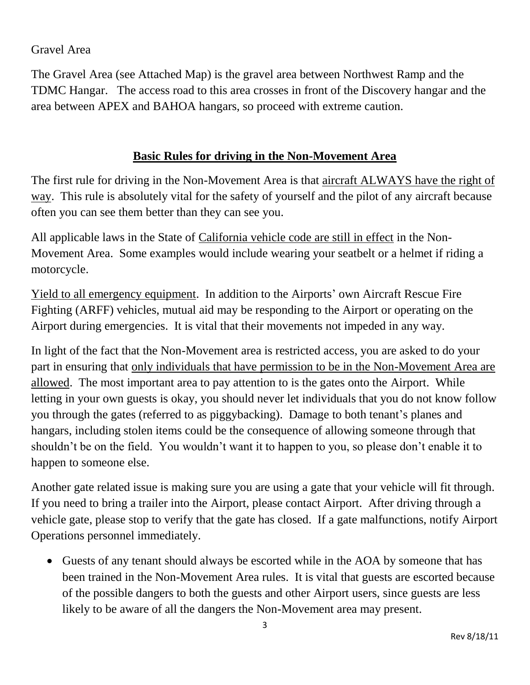# Gravel Area

The Gravel Area (see Attached Map) is the gravel area between Northwest Ramp and the TDMC Hangar. The access road to this area crosses in front of the Discovery hangar and the area between APEX and BAHOA hangars, so proceed with extreme caution.

# **Basic Rules for driving in the Non-Movement Area**

The first rule for driving in the Non-Movement Area is that aircraft ALWAYS have the right of way. This rule is absolutely vital for the safety of yourself and the pilot of any aircraft because often you can see them better than they can see you.

All applicable laws in the State of California vehicle code are still in effect in the Non-Movement Area. Some examples would include wearing your seatbelt or a helmet if riding a motorcycle.

Yield to all emergency equipment. In addition to the Airports' own Aircraft Rescue Fire Fighting (ARFF) vehicles, mutual aid may be responding to the Airport or operating on the Airport during emergencies. It is vital that their movements not impeded in any way.

In light of the fact that the Non-Movement area is restricted access, you are asked to do your part in ensuring that only individuals that have permission to be in the Non-Movement Area are allowed. The most important area to pay attention to is the gates onto the Airport. While letting in your own guests is okay, you should never let individuals that you do not know follow you through the gates (referred to as piggybacking). Damage to both tenant's planes and hangars, including stolen items could be the consequence of allowing someone through that shouldn't be on the field. You wouldn't want it to happen to you, so please don't enable it to happen to someone else.

Another gate related issue is making sure you are using a gate that your vehicle will fit through. If you need to bring a trailer into the Airport, please contact Airport. After driving through a vehicle gate, please stop to verify that the gate has closed. If a gate malfunctions, notify Airport Operations personnel immediately.

 Guests of any tenant should always be escorted while in the AOA by someone that has been trained in the Non-Movement Area rules. It is vital that guests are escorted because of the possible dangers to both the guests and other Airport users, since guests are less likely to be aware of all the dangers the Non-Movement area may present.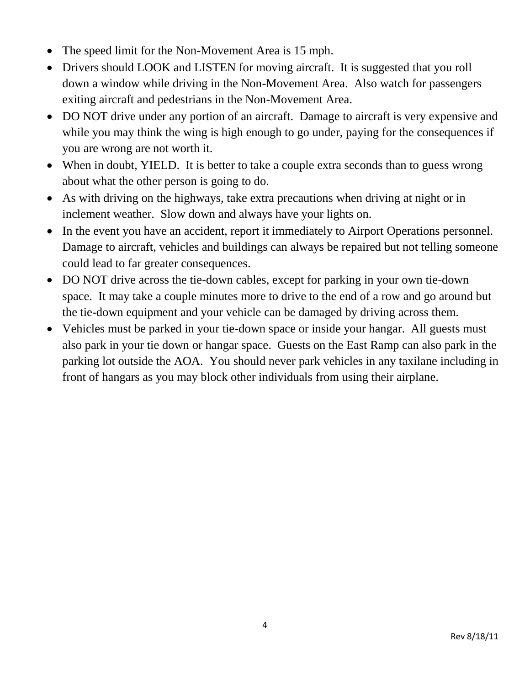- The speed limit for the Non-Movement Area is 15 mph.
- Drivers should LOOK and LISTEN for moving aircraft. It is suggested that you roll down a window while driving in the Non-Movement Area. Also watch for passengers exiting aircraft and pedestrians in the Non-Movement Area.
- DO NOT drive under any portion of an aircraft. Damage to aircraft is very expensive and while you may think the wing is high enough to go under, paying for the consequences if you are wrong are not worth it.
- When in doubt, YIELD. It is better to take a couple extra seconds than to guess wrong about what the other person is going to do.
- As with driving on the highways, take extra precautions when driving at night or in inclement weather. Slow down and always have your lights on.
- In the event you have an accident, report it immediately to Airport Operations personnel. Damage to aircraft, vehicles and buildings can always be repaired but not telling someone could lead to far greater consequences.
- DO NOT drive across the tie-down cables, except for parking in your own tie-down space. It may take a couple minutes more to drive to the end of a row and go around but the tie-down equipment and your vehicle can be damaged by driving across them.
- Vehicles must be parked in your tie-down space or inside your hangar. All guests must also park in your tie down or hangar space. Guests on the East Ramp can also park in the parking lot outside the AOA. You should never park vehicles in any taxilane including in front of hangars as you may block other individuals from using their airplane.